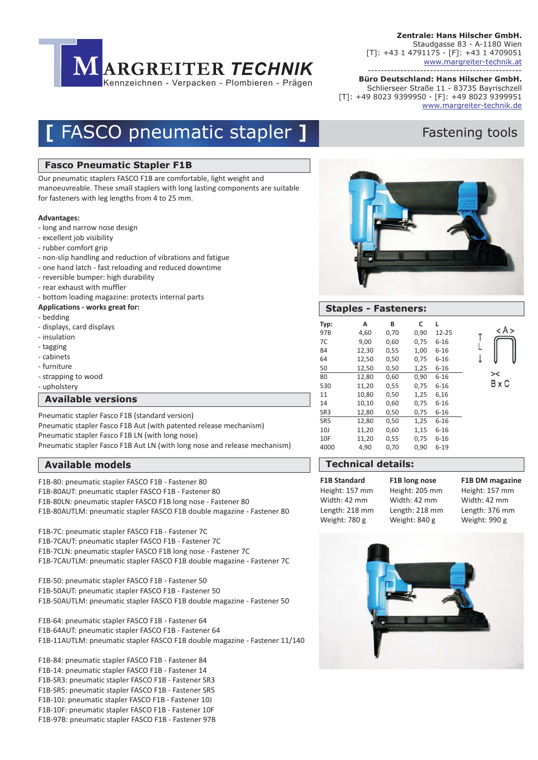

**Büro Deutschland: Hans Hilscher GmbH.** ----------------------------------------------- Schlierseer Straße 11 - 83735 Bayrischzell [T]: +49 8023 9399950 - [F]: +49 8023 9399951 www.margreiter-technik.de

## **[ FASCO pneumatic stapler ]** Fastening tools

#### **Fasco Pneumatic Stapler F1B**

Our pneumatic staplers FASCO F1B are comfortable, light weight and manoeuvreable. These small staplers with long lasting components are suitable for fasteners with leg lengths from 4 to 25 mm.

#### **Advantages:**

- long and narrow nose design
- excellent job visibility
- rubber comfort grip
- non-slip handling and reduction of vibrations and fatigue
- one hand latch fast reloading and reduced downtime
- reversible bumper: high durability
- rear exhaust with muffler
- bottom loading magazine: protects internal parts
- **Applications works great for:**
- bedding
- displays, card displays
- insulation
- tagging
- cabinets
- furniture
- strapping to wood
- upholstery

#### **Available versions**

Pneumatic stapler Fasco F1B (standard version) Pneumatic stapler Fasco F1B Aut (with patented release mechanism) Pneumatic stapler Fasco F1B LN (with long nose) Pneumatic stapler Fasco F1B Aut LN (with long nose and release mechanism)

### **Gravuren und Layouts Available models**

F1B-80: pneumatic stapler FASCO F1B - Fastener 80

F1B-80AUT: pneumatic stapler FASCO F1B - Fastener 80

F1B-80LN: pneumatic stapler FASCO F1B long nose - Fastener 80

F1B-80AUTLM: pneumatic stapler FASCO F1B double magazine - Fastener 80

F1B-7C: pneumatic stapler FASCO F1B - Fastener 7C

F1B-7CAUT: pneumatic stapler FASCO F1B - Fastener 7C

- F1B-7CLN: pneumatic stapler FASCO F1B long nose Fastener 7C
- F1B-7CAUTLM: pneumatic stapler FASCO F1B double magazine Fastener 7C

F1B-50: pneumatic stapler FASCO F1B - Fastener 50 F1B-50AUT: pneumatic stapler FASCO F1B - Fastener 50 F1B-50AUTLM: pneumatic stapler FASCO F1B double magazine - Fastener 50

F1B-64: pneumatic stapler FASCO F1B - Fastener 64 F1B-64AUT: pneumatic stapler FASCO F1B - Fastener 64 F1B-11AUTLM: pneumatic stapler FASCO F1B double magazine - Fastener 11/140

F1B-84: pneumatic stapler FASCO F1B - Fastener 84 F1B-14: pneumatic stapler FASCO F1B - Fastener 14 F1B-SR3: pneumatic stapler FASCO F1B - Fastener SR3 F1B-SR5: pneumatic stapler FASCO F1B - Fastener SR5 F1B-10J: pneumatic stapler FASCO F1B - Fastener 10J F1B-10F: pneumatic stapler FASCO F1B - Fastener 10F F1B-97B: pneumatic stapler FASCO F1B - Fastener 97B



### **Staples - Fasteners:**

| Typ:            | А     | В    | C    | L        |        |
|-----------------|-------|------|------|----------|--------|
| 97B             | 4,60  | 0,70 | 0,90 | 12-25    |        |
| 7C              | 9,00  | 0,60 | 0,75 | $6 - 16$ |        |
| 84              | 12,30 | 0,55 | 1,00 | $6 - 16$ |        |
| 64              | 12,50 | 0,50 | 0,75 | $6 - 16$ |        |
| 50              | 12,50 | 0,50 | 1,25 | $6 - 16$ |        |
| 80              | 12,80 | 0,60 | 0,90 | $6 - 16$ | $>\,<$ |
| 530             | 11,20 | 0,55 | 0,75 | $6 - 16$ | B x (  |
| 11              | 10,80 | 0,50 | 1,25 | 6,16     |        |
| 14              | 10,10 | 0,60 | 0,75 | $6 - 16$ |        |
| SR3             | 12,80 | 0,50 | 0,75 | 6-16     |        |
| SR <sub>5</sub> | 12,80 | 0,50 | 1,25 | $6 - 16$ |        |
| 10J             | 11,20 | 0,60 | 1,15 | $6 - 16$ |        |
| 10F             | 11,20 | 0,55 | 0,75 | $6 - 16$ |        |
| 4000            | 4,90  | 0,70 | 0,90 | $6 - 19$ |        |

### **Technical details:**

| <b>F1B Standard</b> | F1B long nose  | F1B DM magazine |
|---------------------|----------------|-----------------|
| Height: 157 mm      | Height: 205 mm | Height: 157 mm  |
| Width: 42 mm        | Width: 42 mm   | Width: 42 mm    |
| Length: 218 mm      | Length: 218 mm | Length: 376 mm  |
| Weight: 780 g       | Weight: 840 g  | Weight: 990 g   |

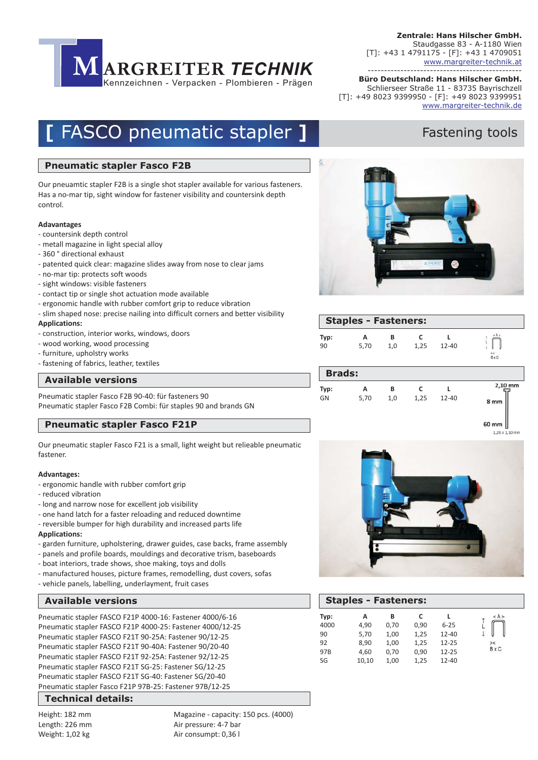

**Büro Deutschland: Hans Hilscher GmbH.** ----------------------------------------------- Schlierseer Straße 11 - 83735 Bayrischzell [T]: +49 8023 9399950 - [F]: +49 8023 9399951 www.margreiter-technik.de

# **[ FASCO pneumatic stapler ]** Fastening tools

#### **Pneumatic stapler Fasco F2B**

Our pneuamtic stapler F2B is a single shot stapler available for various fasteners. Has a no-mar tip, sight window for fastener visibility and countersink depth control.

#### **Adavantages**

- countersink depth control
- metall magazine in light special alloy
- 360 ° directional exhaust
- patented quick clear: magazine slides away from nose to clear jams
- no-mar tip: protects soft woods
- sight windows: visible fasteners
- contact tip or single shot actuation mode available
- ergonomic handle with rubber comfort grip to reduce vibration
- slim shaped nose: precise nailing into difficult corners and better visibility **Applications:**
- construction, interior works, windows, doors
- wood working, wood processing
- furniture, upholstry works
- fastening of fabrics, leather, textiles

#### **Gravuren und Layouts Available versions**

Pneumatic stapler Fasco F2B 90-40: für fasteners 90 Pneumatic stapler Fasco F2B Combi: für staples 90 and brands GN

#### **Pneumatic stapler Fasco F21P**

Our pneumatic stapler Fasco F21 is a small, light weight but relieable pneumatic fastener.

#### **Advantages:**

- ergonomic handle with rubber comfort grip
- reduced vibration
- long and narrow nose for excellent job visibility
- one hand latch for a faster reloading and reduced downtime
- reversible bumper for high durability and increased parts life
- **Applications:**
- garden furniture, upholstering, drawer guides, case backs, frame assembly
- panels and profile boards, mouldings and decorative trism, baseboards
- boat interiors, trade shows, shoe making, toys and dolls
- manufactured houses, picture frames, remodelling, dust covers, sofas
- vehicle panels, labelling, underlayment, fruit cases

Pneumatic stapler FASCO F21P 4000-16: Fastener 4000/6-16 Pneumatic stapler FASCO F21P 4000-25: Fastener 4000/12-25 Pneumatic stapler FASCO F21T 90-25A: Fastener 90/12-25 Pneumatic stapler FASCO F21T 90-40A: Fastener 90/20-40 Pneumatic stapler FASCO F21T 92-25A: Fastener 92/12-25 Pneumatic stapler FASCO F21T SG-25: Fastener SG/12-25 Pneumatic stapler FASCO F21T SG-40: Fastener SG/20-40 Pneumatic stapler Fasco F21P 97B-25: Fastener 97B/12-25

#### **Gravuren und Layouts Technical details:**

Height: 182 mm Length: 226 mm Weight: 1,02 kg

Magazine - capacity: 150 pcs. (4000) Air pressure: 4-7 bar Air consumpt: 0,36 l





|               | <b>Staples - Fasteners:</b> |     |      |           |                   |
|---------------|-----------------------------|-----|------|-----------|-------------------|
| Typ:          | А                           | в   | C    | $12 - 40$ | < A >             |
| 90            | 5,70                        | 1,0 | 1,25 |           | $\frac{2}{8}$ x C |
| <b>Brads:</b> |                             |     |      |           |                   |
| Typ:          | А                           | в   | C    | $12 - 40$ | 2,10 mm           |
| GN            | 5,70                        | 1,0 | 1,25 |           | 8 mm              |

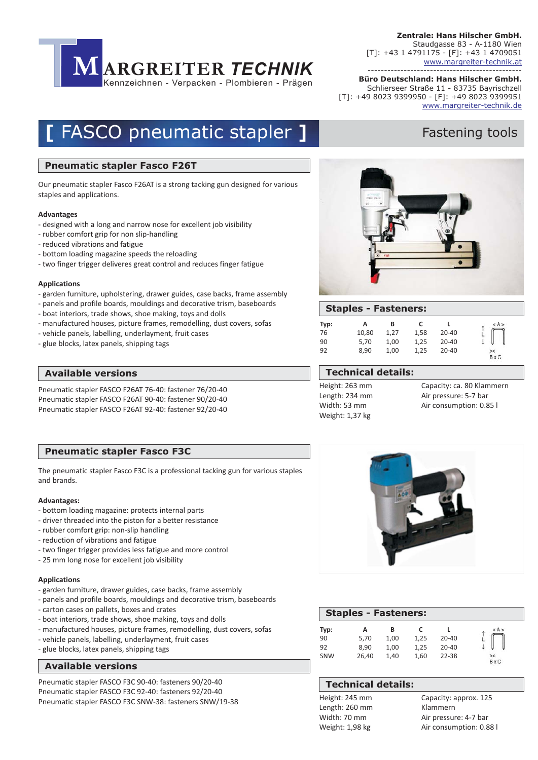

**Büro Deutschland: Hans Hilscher GmbH.** ----------------------------------------------- Schlierseer Straße 11 - 83735 Bayrischzell [T]: +49 8023 9399950 - [F]: +49 8023 9399951 www.margreiter-technik.de

# **[ FASCO pneumatic stapler ]** Fastening tools

#### **Pneumatic stapler Fasco F26T**

Our pneumatic stapler Fasco F26AT is a strong tacking gun designed for various staples and applications.

#### **Advantages**

- designed with a long and narrow nose for excellent job visibility
- rubber comfort grip for non slip-handling
- reduced vibrations and fatigue
- bottom loading magazine speeds the reloading
- two finger trigger deliveres great control and reduces finger fatigue

#### **Applications**

- garden furniture, upholstering, drawer guides, case backs, frame assembly
- panels and profile boards, mouldings and decorative trism, baseboards
- boat interiors, trade shows, shoe making, toys and dolls
- manufactured houses, picture frames, remodelling, dust covers, sofas
- vehicle panels, labelling, underlayment, fruit cases
- glue blocks, latex panels, shipping tags

#### **Available versions Technical details:**

Pneumatic stapler FASCO F26AT 76-40: fastener 76/20-40 Pneumatic stapler FASCO F26AT 90-40: fastener 90/20-40 Pneumatic stapler FASCO F26AT 92-40: fastener 92/20-40

### **Pneumatic stapler Fasco F3C**

The pneumatic stapler Fasco F3C is a professional tacking gun for various staples and brands.

#### **Advantages:**

- bottom loading magazine: protects internal parts
- driver threaded into the piston for a better resistance
- rubber comfort grip: non-slip handling
- reduction of vibrations and fatigue
- two finger trigger provides less fatigue and more control
- 25 mm long nose for excellent job visibility

#### **Applications**

- garden furniture, drawer guides, case backs, frame assembly
- panels and profile boards, mouldings and decorative trism, baseboards
- carton cases on pallets, boxes and crates
- boat interiors, trade shows, shoe making, toys and dolls
- manufactured houses, picture frames, remodelling, dust covers, sofas
- vehicle panels, labelling, underlayment, fruit cases
- glue blocks, latex panels, shipping tags

#### **Gravuren und Layouts Available versions**

Pneumatic stapler FASCO F3C 90-40: fasteners 90/20-40 Pneumatic stapler FASCO F3C SNW-38: fasteners SNW/19-38 Pneumatic stapler FASCO F3C 92-40: fasteners 92/20-40



### **Staples - Fasteners:**

| Typ: | А     | в    |      |       | < A >              |
|------|-------|------|------|-------|--------------------|
| 76   | 10,80 | 1.27 | 1.58 | 20-40 |                    |
| 90   | 5,70  | 1,00 | 1,25 | 20-40 |                    |
| 92   | 8.90  | 1,00 | 1.25 | 20-40 | ><<br><b>B</b> x C |

### **Technical details:**

Height: 263 mm Length: 234 mm Width: 53 mm Weight: 1,37 kg

Capacity: ca. 80 Klammern Air pressure: 5-7 bar Air consumption: 0.85 l



| <b>Staples - Fasteners:</b> |       |      |      |           |                |
|-----------------------------|-------|------|------|-----------|----------------|
| Typ:                        | А     | в    |      |           | < A >          |
| 90                          | 5.70  | 1.00 | 1.25 | $20 - 40$ |                |
| 92                          | 8.90  | 1.00 | 1.25 | $20 - 40$ |                |
| SNW                         | 26.40 | 1.40 | 1.60 | $22 - 38$ | $>\,$<br>R y C |

### **Technical details:**

Height: 245 mm Length: 260 mm Width: 70 mm Weight: 1,98 kg

Capacity: approx. 125 Klammern Air pressure: 4-7 bar Air consumption: 0.88 l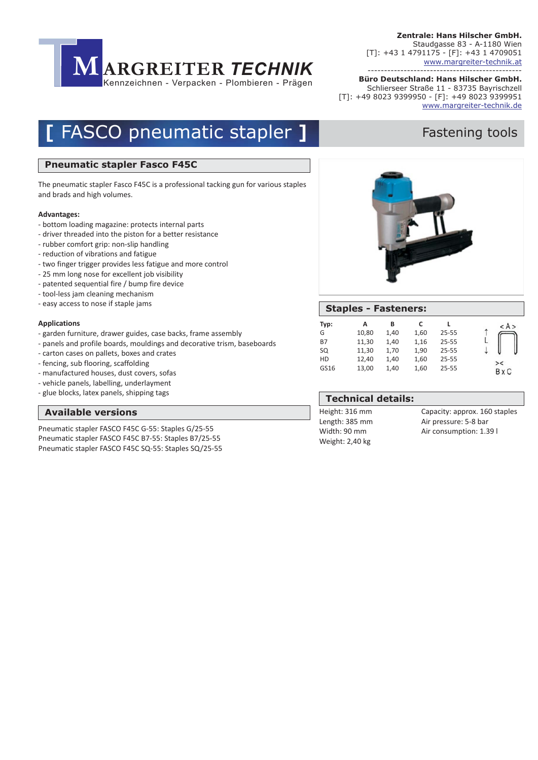

**Büro Deutschland: Hans Hilscher GmbH.** ----------------------------------------------- Schlierseer Straße 11 - 83735 Bayrischzell [T]: +49 8023 9399950 - [F]: +49 8023 9399951 www.margreiter-technik.de

## **[ FASCO pneumatic stapler ] The Fastening tools**

#### **Pneumatic stapler Fasco F45C**

The pneumatic stapler Fasco F45C is a professional tacking gun for various staples and brads and high volumes.

#### **Advantages:**

- bottom loading magazine: protects internal parts
- driver threaded into the piston for a better resistance
- rubber comfort grip: non-slip handling
- reduction of vibrations and fatigue
- two finger trigger provides less fatigue and more control
- 25 mm long nose for excellent job visibility
- patented sequential fire / bump fire device
- tool-less jam cleaning mechanism
- easy access to nose if staple jams

#### **Applications**

- garden furniture, drawer guides, case backs, frame assembly
- panels and profile boards, mouldings and decorative trism, baseboards
- carton cases on pallets, boxes and crates
- fencing, sub flooring, scaffolding
- manufactured houses, dust covers, sofas
- vehicle panels, labelling, underlayment
- glue blocks, latex panels, shipping tags

#### **Gravuren und Layouts Available versions**

Pneumatic stapler FASCO F45C G-55: Staples G/25-55 Pneumatic stapler FASCO F45C B7-55: Staples B7/25-55 Pneumatic stapler FASCO F45C SQ-55: Staples SQ/25-55



|           | <b>Staples - Fasteners:</b> |      |      |           |              |
|-----------|-----------------------------|------|------|-----------|--------------|
| Typ:      | А                           | в    | c    |           | < A >        |
| G         | 10,80                       | 1,40 | 1,60 | $25 - 55$ |              |
| <b>B7</b> | 11,30                       | 1,40 | 1,16 | $25 - 55$ |              |
| SQ        | 11,30                       | 1,70 | 1,90 | $25 - 55$ |              |
| HD        | 12,40                       | 1,40 | 1,60 | $25 - 55$ | $\geq$       |
| GS16      | 13,00                       | 1,40 | 1,60 | $25 - 55$ | <b>B</b> x C |

### **Technical details:**

Height: 316 mm Length: 385 mm Width: 90 mm Weight: 2,40 kg

Capacity: approx. 160 staples Air pressure: 5-8 bar Air consumption: 1.39 l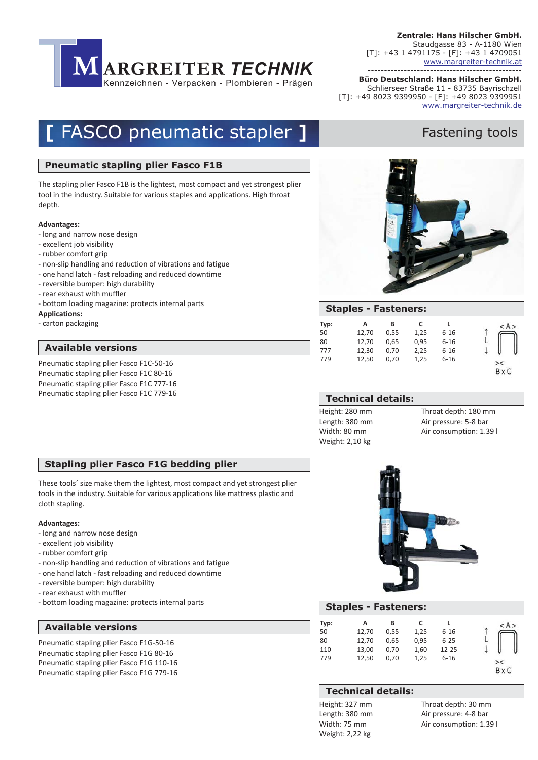

**Büro Deutschland: Hans Hilscher GmbH.** ----------------------------------------------- Schlierseer Straße 11 - 83735 Bayrischzell [T]: +49 8023 9399950 - [F]: +49 8023 9399951 www.margreiter-technik.de

## **[ FASCO pneumatic stapler ] The Fastening tools**

#### **Pneumatic stapling plier Fasco F1B**

The stapling plier Fasco F1B is the lightest, most compact and yet strongest plier tool in the industry. Suitable for various staples and applications. High throat depth.

#### **Advantages:**

- long and narrow nose design
- excellent job visibility
- rubber comfort grip
- non-slip handling and reduction of vibrations and fatigue
- one hand latch fast reloading and reduced downtime
- reversible bumper: high durability
- rear exhaust with muffler
- bottom loading magazine: protects internal parts
- **Applications:**
- carton packaging

#### **Gravuren und Layouts Available versions**

Pneumatic stapling plier Fasco F1C-50-16 Pneumatic stapling plier Fasco F1C 80-16 Pneumatic stapling plier Fasco F1C 777-16 Pneumatic stapling plier Fasco F1C 779-16



|      | <b>Staples - Fasteners:</b> |      |      |          |       |
|------|-----------------------------|------|------|----------|-------|
| Typ: | А                           | В    | C    |          | < A > |
| 50   | 12,70                       | 0.55 | 1,25 | $6 - 16$ |       |
| 80   | 12,70                       | 0.65 | 0,95 | $6 - 16$ |       |
| 777  | 12,30                       | 0.70 | 2,25 | $6 - 16$ |       |
| 779  | 12.50                       | 0.70 | 1,25 | $6 - 16$ | $>\,$ |
|      |                             |      |      |          |       |

#### **Technical details:**

Height: 280 mm Length: 380 mm Width: 80 mm Weight: 2,10 kg

Throat depth: 180 mm Air pressure: 5-8 bar Air consumption: 1.39 l

#### **Stapling plier Fasco F1G bedding plier**

These tools´ size make them the lightest, most compact and yet strongest plier tools in the industry. Suitable for various applications like mattress plastic and cloth stapling.

#### **Advantages:**

- long and narrow nose design
- excellent job visibility
- rubber comfort grip
- non-slip handling and reduction of vibrations and fatigue
- one hand latch fast reloading and reduced downtime
- reversible bumper: high durability
- rear exhaust with muffler
- bottom loading magazine: protects internal parts

#### **Gravuren und Layouts Available versions**

Pneumatic stapling plier Fasco F1G-50-16 Pneumatic stapling plier Fasco F1G 80-16 Pneumatic stapling plier Fasco F1G 110-16 Pneumatic stapling plier Fasco F1G 779-16



|      | <b>Staples - Fasteners:</b> |      |      |           |       |
|------|-----------------------------|------|------|-----------|-------|
| Typ: | А                           | в    | c    |           | < A > |
| 50   | 12,70                       | 0.55 | 1,25 | $6 - 16$  |       |
| 80   | 12,70                       | 0.65 | 0,95 | $6 - 25$  |       |
| 110  | 13,00                       | 0.70 | 1,60 | $12 - 25$ |       |
| 779  | 12,50                       | 0.70 | 1,25 | $6 - 16$  | $>\,$ |
|      |                             |      |      |           |       |

### **Technical details:**

Height: 327 mm Length: 380 mm Width: 75 mm Weight: 2,22 kg

Throat depth: 30 mm Air pressure: 4-8 bar Air consumption: 1.39 l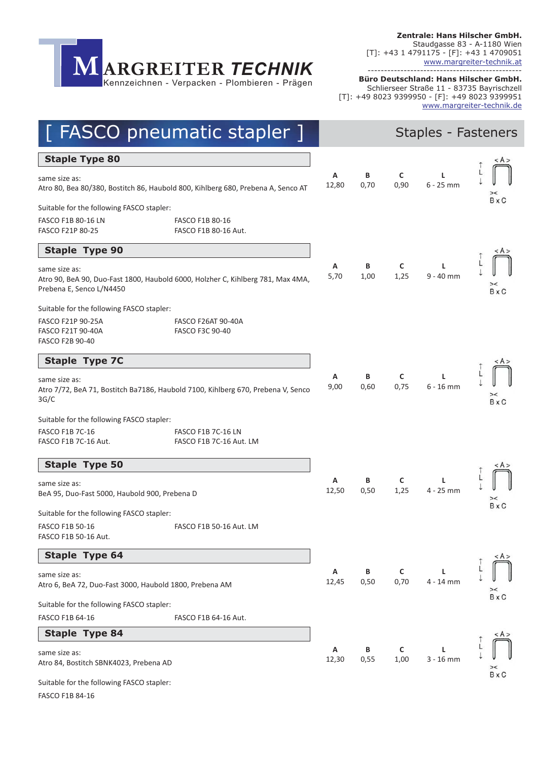-----------------------------------------------

**MARGREITER** *TECHNIK*<br> **Kennzeichnen - Verpacken - Plombieren - Prägen**<br> **EXECO pneumatic stapler** Kennzeichnen - Verpacken - Plombieren - Prägen

**Büro Deutschland: Hans Hilscher GmbH.** Schlierseer Straße 11 - 83735 Bayrischzell [T]: +49 8023 9399950 - [F]: +49 8023 9399951 www.margreiter-technik.de

|                                                                                                               | <b>FASCO pneumatic stapler</b> ]                                                 |            |           |                      | Staples - Fasteners |              |
|---------------------------------------------------------------------------------------------------------------|----------------------------------------------------------------------------------|------------|-----------|----------------------|---------------------|--------------|
| <b>Staple Type 80</b>                                                                                         |                                                                                  |            |           |                      |                     | < A >        |
| same size as:                                                                                                 | Atro 80, Bea 80/380, Bostitch 86, Haubold 800, Kihlberg 680, Prebena A, Senco AT | Α<br>12,80 | В<br>0,70 | C<br>0,90            | L<br>$6 - 25$ mm    |              |
| Suitable for the following FASCO stapler:<br><b>FASCO F1B 80-16 LN</b><br>FASCO F21P 80-25                    | FASCO F1B 80-16<br>FASCO F1B 80-16 Aut.                                          |            |           |                      |                     | <b>B</b> x C |
| <b>Staple Type 90</b>                                                                                         |                                                                                  |            |           |                      |                     |              |
| same size as:<br>Prebena E, Senco L/N4450                                                                     | Atro 90, BeA 90, Duo-Fast 1800, Haubold 6000, Holzher C, Kihlberg 781, Max 4MA,  | Α<br>5,70  | В<br>1,00 | C<br>1,25            | Г<br>$9 - 40$ mm    | <b>B</b> x C |
| Suitable for the following FASCO stapler:<br>FASCO F21P 90-25A<br>FASCO F21T 90-40A<br><b>FASCO F2B 90-40</b> | <b>FASCO F26AT 90-40A</b><br>FASCO F3C 90-40                                     |            |           |                      |                     |              |
| <b>Staple Type 7C</b>                                                                                         |                                                                                  |            |           |                      |                     | < A >        |
| same size as:<br>3G/C                                                                                         | Atro 7/72, BeA 71, Bostitch Ba7186, Haubold 7100, Kihlberg 670, Prebena V, Senco | Α<br>9,00  | B<br>0,60 | $\mathsf{C}$<br>0,75 | L<br>$6 - 16$ mm    | <b>B</b> x C |
| Suitable for the following FASCO stapler:<br><b>FASCO F1B 7C-16</b><br>FASCO F1B 7C-16 Aut.                   | <b>FASCO F1B 7C-16 LN</b><br>FASCO F1B 7C-16 Aut. LM                             |            |           |                      |                     |              |
| <b>Staple Type 50</b>                                                                                         |                                                                                  |            |           |                      |                     |              |
| same size as:<br>BeA 95, Duo-Fast 5000, Haubold 900, Prebena D                                                |                                                                                  | Α<br>12,50 | В<br>0,50 | C<br>1,25            | L<br>4 - 25 mm      | $>\,$        |
| Suitable for the following FASCO stapler:<br>FASCO F1B 50-16<br>FASCO F1B 50-16 Aut.                          | FASCO F1B 50-16 Aut. LM                                                          |            |           |                      |                     | <b>B</b> x C |
| <b>Staple Type 64</b>                                                                                         |                                                                                  |            |           |                      |                     | < A >        |
| same size as:<br>Atro 6, BeA 72, Duo-Fast 3000, Haubold 1800, Prebena AM                                      |                                                                                  | Α<br>12,45 | B<br>0,50 | C<br>0,70            | L<br>4 - 14 mm      |              |
| Suitable for the following FASCO stapler:                                                                     |                                                                                  |            |           |                      |                     | <b>B</b> x C |
| FASCO F1B 64-16                                                                                               | FASCO F1B 64-16 Aut.                                                             |            |           |                      |                     |              |
| <b>Staple Type 84</b>                                                                                         |                                                                                  |            |           |                      |                     | < A >        |
| same size as:<br>Atro 84, Bostitch SBNK4023, Prebena AD                                                       |                                                                                  | Α<br>12,30 | В<br>0,55 | C<br>1,00            | L<br>$3 - 16$ mm    | <b>B</b> x C |
| Suitable for the following FASCO stapler:                                                                     |                                                                                  |            |           |                      |                     |              |

FASCO F1B 84-16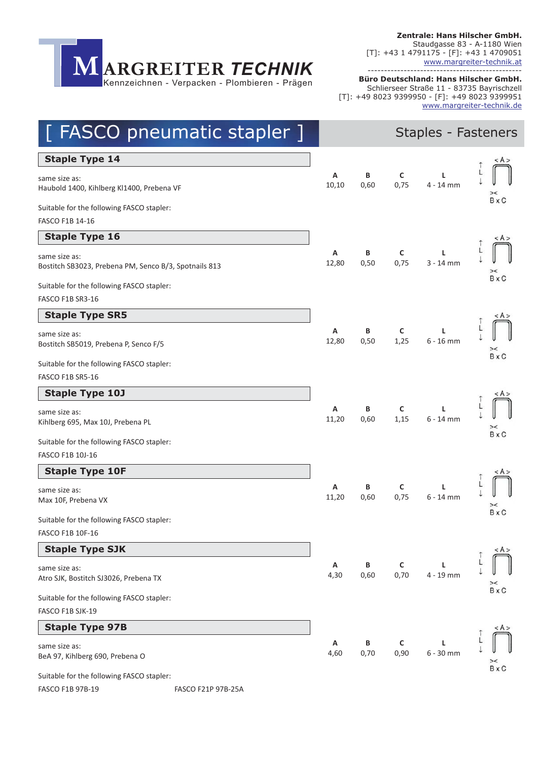**MARGREITER** *TECHNIK*<br> **Kennzeichnen - Verpacken - Plombieren - Prägen**<br> **EXECO pneumatic stapler** Kennzeichnen - Verpacken - Plombieren - Prägen

**Zentrale: Hans Hilscher GmbH.** Staudgasse 83 - A-1180 Wien [T]: +43 1 4791175 - [F]: +43 1 4709051 ---------------------------------------------- www.margreiter-technik.at

**Büro Deutschland: Hans Hilscher GmbH.** Schlierseer Straße 11 - 83735 Bayrischzell [T]: +49 8023 9399950 - [F]: +49 8023 9399951 www.margreiter-technik.de

| FASCO pneumatic stapler ]                                                           |            |           |           | Staples - Fasteners |              |
|-------------------------------------------------------------------------------------|------------|-----------|-----------|---------------------|--------------|
| <b>Staple Type 14</b>                                                               |            |           |           |                     | < A >        |
| same size as:<br>Haubold 1400, Kihlberg Kl1400, Prebena VF                          | Α<br>10,10 | В<br>0,60 | C<br>0,75 | L<br>$4 - 14$ mm    |              |
| Suitable for the following FASCO stapler:<br>FASCO F1B 14-16                        |            |           |           |                     | <b>B</b> x C |
| <b>Staple Type 16</b>                                                               |            |           |           |                     |              |
| same size as:<br>Bostitch SB3023, Prebena PM, Senco B/3, Spotnails 813              | Α<br>12,80 | B<br>0,50 | C<br>0,75 | г<br>$3 - 14$ mm    | ><           |
| Suitable for the following FASCO stapler:                                           |            |           |           |                     | <b>B</b> x C |
| FASCO F1B SR3-16                                                                    |            |           |           |                     |              |
| <b>Staple Type SR5</b>                                                              |            |           |           |                     | < A >        |
| same size as:<br>Bostitch SB5019, Prebena P, Senco F/5                              | Α<br>12,80 | В<br>0,50 | C<br>1,25 | L<br>$6 - 16$ mm    | <b>B</b> x C |
| Suitable for the following FASCO stapler:<br>FASCO F1B SR5-16                       |            |           |           |                     |              |
| <b>Staple Type 10J</b>                                                              |            |           |           |                     | < A >        |
| same size as:<br>Kihlberg 695, Max 10J, Prebena PL                                  | Α<br>11,20 | B<br>0,60 | C<br>1,15 | L<br>$6 - 14$ mm    | $>\,$        |
| Suitable for the following FASCO stapler:<br>FASCO F1B 10J-16                       |            |           |           |                     | <b>B</b> x C |
| <b>Staple Type 10F</b>                                                              |            |           |           |                     | < A >        |
| same size as:<br>Max 10F, Prebena VX                                                | Α<br>11,20 | В<br>0,60 | C<br>0,75 | L<br>$6 - 14$ mm    |              |
| Suitable for the following FASCO stapler:<br>FASCO F1B 10F-16                       |            |           |           |                     | <b>B</b> x C |
| <b>Staple Type SJK</b>                                                              |            |           |           |                     | < A >        |
| same size as:<br>Atro SJK, Bostitch SJ3026, Prebena TX                              | Α<br>4,30  | B<br>0,60 | C<br>0,70 | L<br>4 - 19 mm      | ><           |
| Suitable for the following FASCO stapler:                                           |            |           |           |                     | <b>B</b> x C |
| FASCO F1B SJK-19                                                                    |            |           |           |                     |              |
| <b>Staple Type 97B</b>                                                              |            |           |           |                     | < A >        |
| same size as:<br>BeA 97, Kihlberg 690, Prebena O                                    | Α<br>4,60  | В<br>0,70 | C<br>0,90 | L<br>$6 - 30$ mm    | <b>B</b> x C |
| Suitable for the following FASCO stapler:<br>FASCO F1B 97B-19<br>FASCO F21P 97B-25A |            |           |           |                     |              |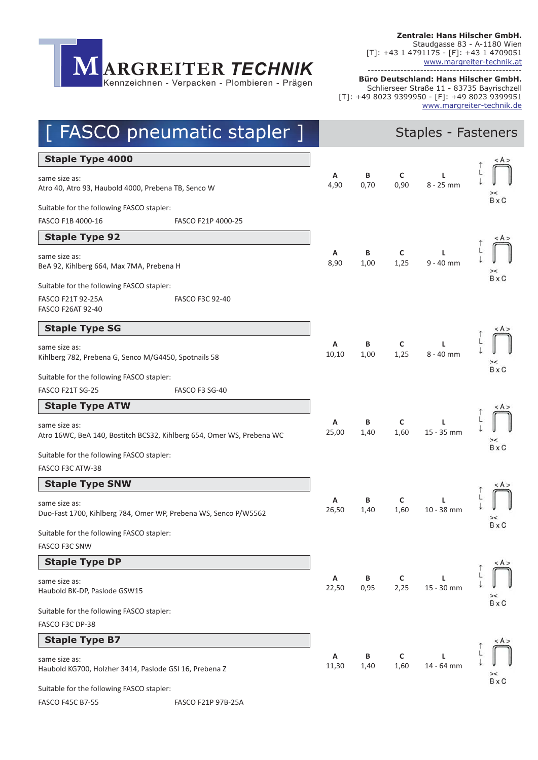**Zentrale: Hans Hilscher GmbH.** Staudgasse 83 - A-1180 Wien [T]: +43 1 4791175 - [F]: +43 1 4709051 ---------------------------------------------- www.margreiter-technik.at



**Büro Deutschland: Hans Hilscher GmbH.** Schlierseer Straße 11 - 83735 Bayrischzell [T]: +49 8023 9399950 - [F]: +49 8023 9399951 www.margreiter-technik.de

| <b>FASCO</b> pneumatic stapler ]                                                       |            |           |           | Staples - Fasteners |              |
|----------------------------------------------------------------------------------------|------------|-----------|-----------|---------------------|--------------|
| <b>Staple Type 4000</b>                                                                |            |           |           |                     | < A >        |
| same size as:<br>Atro 40, Atro 93, Haubold 4000, Prebena TB, Senco W                   | Α<br>4,90  | В<br>0,70 | C<br>0,90 | L<br>8 - 25 mm      |              |
| Suitable for the following FASCO stapler:                                              |            |           |           |                     | <b>B</b> x C |
| FASCO F1B 4000-16<br>FASCO F21P 4000-25                                                |            |           |           |                     |              |
| <b>Staple Type 92</b>                                                                  |            |           |           |                     | < A >        |
| same size as:<br>BeA 92, Kihlberg 664, Max 7MA, Prebena H                              | Α<br>8,90  | В<br>1,00 | C<br>1,25 | L<br>$9 - 40$ mm    |              |
| Suitable for the following FASCO stapler:                                              |            |           |           |                     | <b>B</b> x C |
| FASCO F21T 92-25A<br><b>FASCO F3C 92-40</b><br><b>FASCO F26AT 92-40</b>                |            |           |           |                     |              |
| <b>Staple Type SG</b>                                                                  |            |           |           |                     | < A >        |
| same size as:<br>Kihlberg 782, Prebena G, Senco M/G4450, Spotnails 58                  | Α<br>10,10 | В<br>1,00 | C<br>1,25 | L<br>$8 - 40$ mm    |              |
| Suitable for the following FASCO stapler:                                              |            |           |           |                     | <b>B</b> x C |
| FASCO F21T SG-25<br>FASCO F3 SG-40                                                     |            |           |           |                     |              |
| <b>Staple Type ATW</b>                                                                 |            |           |           |                     |              |
| same size as:<br>Atro 16WC, BeA 140, Bostitch BCS32, Kihlberg 654, Omer WS, Prebena WC | Α<br>25,00 | В<br>1,40 | C<br>1,60 | L<br>15 - 35 mm     |              |
| Suitable for the following FASCO stapler:<br>FASCO F3C ATW-38                          |            |           |           |                     | <b>B</b> x C |
| <b>Staple Type SNW</b>                                                                 |            |           |           |                     |              |
| same size as:<br>Duo-Fast 1700, Kihlberg 784, Omer WP, Prebena WS, Senco P/W5562       | Α<br>26,50 | В<br>1,40 | C<br>1,60 | L<br>$10 - 38$ mm   |              |
| Suitable for the following FASCO stapler:<br><b>FASCO F3C SNW</b>                      |            |           |           |                     | <b>B</b> x C |
| <b>Staple Type DP</b>                                                                  |            |           |           |                     | < A >        |
| same size as:<br>Haubold BK-DP, Paslode GSW15                                          | Α<br>22,50 | В<br>0,95 | C<br>2,25 | L<br>15 - 30 mm     | $>\,$        |
| Suitable for the following FASCO stapler:                                              |            |           |           |                     | <b>B</b> x C |
| FASCO F3C DP-38                                                                        |            |           |           |                     |              |
| <b>Staple Type B7</b>                                                                  |            |           |           |                     | < A >        |
| same size as:<br>Haubold KG700, Holzher 3414, Paslode GSI 16, Prebena Z                | Α<br>11,30 | В<br>1,40 | C<br>1,60 | L<br>14 - 64 mm     |              |
| Suitable for the following FASCO stapler:                                              |            |           |           |                     | <b>B</b> x C |
| <b>FASCO F45C B7-55</b><br><b>FASCO F21P 97B-25A</b>                                   |            |           |           |                     |              |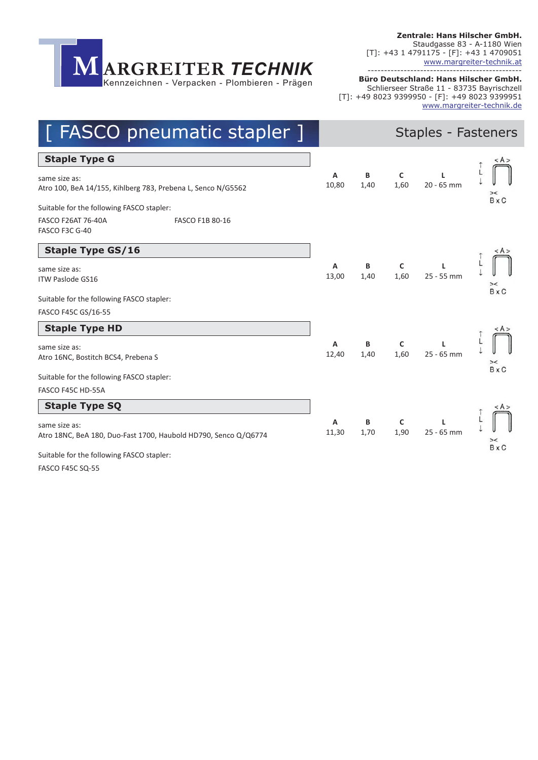**Zentrale: Hans Hilscher GmbH.** Staudgasse 83 - A-1180 Wien [T]: +43 1 4791175 - [F]: +43 1 4709051 ---------------------------------------------- www.margreiter-technik.at



**Büro Deutschland: Hans Hilscher GmbH.** Schlierseer Straße 11 - 83735 Bayrischzell [T]: +49 8023 9399950 - [F]: +49 8023 9399951 www.margreiter-technik.de

| [ FASCO pneumatic stapler ]                                                      |            |           |                     | <b>Staples - Fasteners</b> |              |
|----------------------------------------------------------------------------------|------------|-----------|---------------------|----------------------------|--------------|
| <b>Staple Type G</b>                                                             |            |           |                     |                            | < A >        |
| same size as:<br>Atro 100, BeA 14/155, Kihlberg 783, Prebena L, Senco N/G5562    | А<br>10,80 | В<br>1,40 | C<br>1,60           | L<br>20 - 65 mm            | ><           |
| Suitable for the following FASCO stapler:                                        |            |           |                     |                            | <b>B</b> x C |
| <b>FASCO F26AT 76-40A</b><br>FASCO F1B 80-16<br>FASCO F3C G-40                   |            |           |                     |                            |              |
| <b>Staple Type GS/16</b>                                                         |            |           |                     |                            | < A >        |
| same size as:<br><b>ITW Paslode GS16</b>                                         | A<br>13,00 | B<br>1,40 | $\mathsf C$<br>1,60 | $\mathbf{L}$<br>25 - 55 mm |              |
| Suitable for the following FASCO stapler:                                        |            |           |                     |                            | <b>B</b> x C |
| FASCO F45C GS/16-55                                                              |            |           |                     |                            |              |
| <b>Staple Type HD</b>                                                            |            |           |                     |                            | < A >        |
| same size as:<br>Atro 16NC, Bostitch BCS4, Prebena S                             | A<br>12,40 | B<br>1,40 | C<br>1,60           | 25 - 65 mm                 | ><           |
| Suitable for the following FASCO stapler:                                        |            |           |                     |                            | <b>B</b> x C |
| FASCO F45C HD-55A                                                                |            |           |                     |                            |              |
| <b>Staple Type SQ</b>                                                            |            |           |                     |                            |              |
| same size as:<br>Atro 18NC, BeA 180, Duo-Fast 1700, Haubold HD790, Senco Q/Q6774 | Α<br>11,30 | B<br>1,70 | C<br>1,90           | $25 - 65$ mm               |              |
| Suitable for the following FASCO stapler:                                        |            |           |                     |                            | <b>B</b> x C |
| <b>FASCO F45C SQ-55</b>                                                          |            |           |                     |                            |              |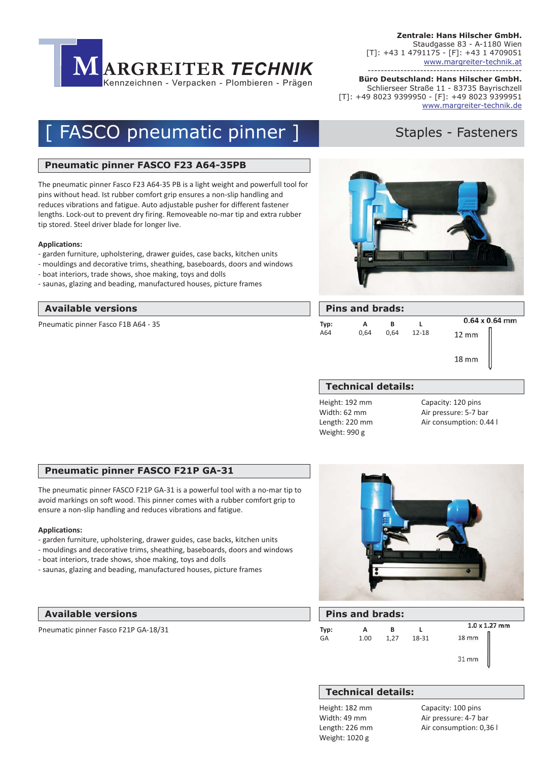

**Büro Deutschland: Hans Hilscher GmbH.** ----------------------------------------------- Schlierseer Straße 11 - 83735 Bayrischzell [T]: +49 8023 9399950 - [F]: +49 8023 9399951 www.margreiter-technik.de

# **[ FASCO pneumatic pinner ] Staples - Fasteners**

#### **Pneumatic pinner FASCO F23 A64-35PB**

The pneumatic pinner Fasco F23 A64-35 PB is a light weight and powerfull tool for pins without head. Ist rubber comfort grip ensures a non-slip handling and reduces vibrations and fatigue. Auto adjustable pusher for different fastener lengths. Lock-out to prevent dry firing. Removeable no-mar tip and extra rubber tip stored. Steel driver blade for longer live.

#### **Applications:**

- garden furniture, upholstering, drawer guides, case backs, kitchen units
- mouldings and decorative trims, sheathing, baseboards, doors and windows
- boat interiors, trade shows, shoe making, toys and dolls
- saunas, glazing and beading, manufactured houses, picture frames

#### **Gravuren und Layouts Pins and brads: Available versions**

Pneumatic pinner Fasco F1B A64 - 35



| <b>Pins and brads:</b> |      |      |           |                       |  |  |  |  |
|------------------------|------|------|-----------|-----------------------|--|--|--|--|
| Typ:                   | А    | в    |           | $0.64 \times 0.64$ mm |  |  |  |  |
| A64                    | 0,64 | 0.64 | $12 - 18$ | $12 \, \text{mm}$     |  |  |  |  |
|                        |      |      |           | $18 \, \text{mm}$     |  |  |  |  |

#### **Technical details:**

Height: 192 mm Width: 62 mm Length: 220 mm Weight: 990 g

Capacity: 120 pins Air pressure: 5-7 bar Air consumption: 0.44 l

#### **Pneumatic pinner FASCO F21P GA-31**

The pneumatic pinner FASCO F21P GA-31 is a powerful tool with a no-mar tip to avoid markings on soft wood. This pinner comes with a rubber comfort grip to ensure a non-slip handling and reduces vibrations and fatigue.

#### **Applications:**

- garden furniture, upholstering, drawer guides, case backs, kitchen units
- mouldings and decorative trims, sheathing, baseboards, doors and windows
- boat interiors, trade shows, shoe making, toys and dolls
- saunas, glazing and beading, manufactured houses, picture frames

#### **Gravuren und Layouts Available versions**

Pneumatic pinner Fasco F21P GA-18/31



| <b>Pins and brads:</b> |      |      |       |                      |  |  |
|------------------------|------|------|-------|----------------------|--|--|
| Typ:                   |      | в    |       | $1.0 \times 1.27$ mm |  |  |
| GA                     | 1.00 | 1.27 | 18-31 | $18 \, \text{mm}$    |  |  |
|                        |      |      |       | 31 mm                |  |  |

#### **Technical details:**

Height: 182 mm Width: 49 mm Length: 226 mm Weight: 1020 g

Capacity: 100 pins Air pressure: 4-7 bar Air consumption: 0,36 l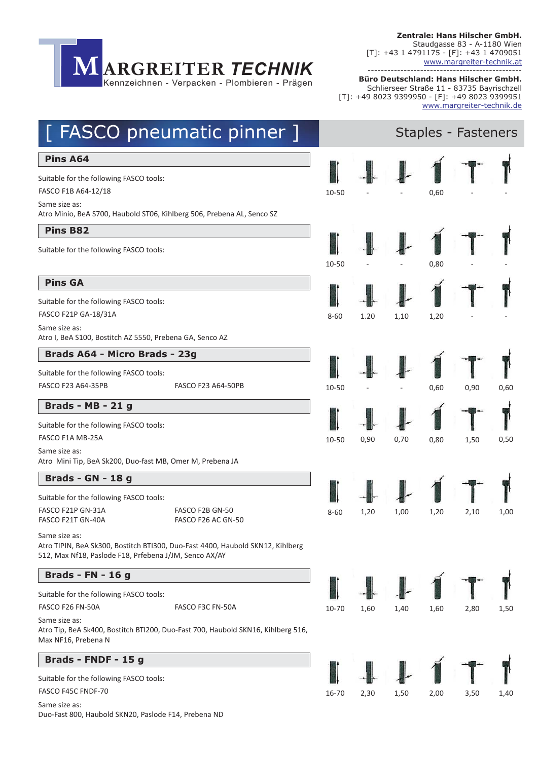

**Büro Deutschland: Hans Hilscher GmbH.** ----------------------------------------------- Schlierseer Straße 11 - 83735 Bayrischzell [T]: +49 8023 9399950 - [F]: +49 8023 9399951 www.margreiter-technik.de

## [ FASCO pneumatic pinner ] Staples - Fasteners

#### **Pins A64**

Suitable for the following FASCO tools:

FASCO F1B A64-12/18

Same size as: Atro Minio, BeA S700, Haubold ST06, Kihlberg 506, Prebena AL, Senco SZ

#### **Pins B82**

Suitable for the following FASCO tools:

#### **Pins GA**

Suitable for the following FASCO tools:

Same size as: Atro I, BeA S100, Bostitch AZ 5550, Prebena GA, Senco AZ

### Brads A64 - Micro Brads - 23g

Suitable for the following FASCO tools:

### **Brads - MB - 21 g**

Suitable for the following FASCO tools:

Same size as: Atro Mini Tip, BeA Sk200, Duo-fast MB, Omer M, Prebena JA

### **Brads - GN - 18 g**

Suitable for the following FASCO tools:

FASCO F21P GN-31A FASCO F21T GN-40A

FASCO F2B GN-50 FASCO F26 AC GN-50

Same size as: Atro TIPIN, BeA Sk300, Bostitch BTI300, Duo-Fast 4400, Haubold SKN12, Kihlberg 512, Max Nf18, Paslode F18, Prfebena J/JM, Senco AX/AY

### **Brads - FN - 16 g**

Suitable for the following FASCO tools:

Same size as: Atro Tip, BeA Sk400, Bostitch BTI200, Duo-Fast 700, Haubold SKN16, Kihlberg 516, Max NF16, Prebena N

### **Brads - FNDF - 15 g**

Suitable for the following FASCO tools: Same size as: Duo-Fast 800, Haubold SKN20, Paslode F14, Prebena ND



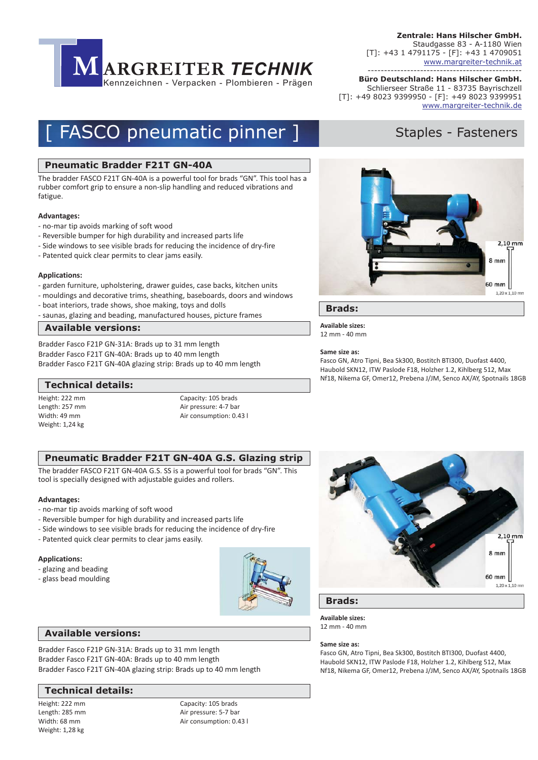

**Büro Deutschland: Hans Hilscher GmbH.** ----------------------------------------------- Schlierseer Straße 11 - 83735 Bayrischzell [T]: +49 8023 9399950 - [F]: +49 8023 9399951 www.margreiter-technik.de

# **[ FASCO pneumatic pinner ] Staples - Fasteners**

#### **Pneumatic Bradder F21T GN-40A**

The bradder FASCO F21T GN-40A is a powerful tool for brads "GN". This tool has a rubber comfort grip to ensure a non-slip handling and reduced vibrations and fatigue.

#### **Advantages:**

- no-mar tip avoids marking of soft wood
- Reversible bumper for high durability and increased parts life
- Side windows to see visible brads for reducing the incidence of dry-fire
- Patented quick clear permits to clear jams easily.

#### **Applications:**

- garden furniture, upholstering, drawer guides, case backs, kitchen units
- mouldings and decorative trims, sheathing, baseboards, doors and windows
- boat interiors, trade shows, shoe making, toys and dolls
- saunas, glazing and beading, manufactured houses, picture frames

#### **Available versions:**

Bradder Fasco F21P GN-31A: Brads up to 31 mm length Bradder Fasco F21T GN-40A: Brads up to 40 mm length Bradder Fasco F21T GN-40A glazing strip: Brads up to 40 mm length

#### **Technical details:**

Height: 222 mm Length: 257 mm Width: 49 mm Weight: 1,24 kg

Capacity: 105 brads Air pressure: 4-7 bar Air consumption: 0.43 l

#### **Pneumatic Bradder F21T GN-40A G.S. Glazing strip**

The bradder FASCO F21T GN-40A G.S. SS is a powerful tool for brads "GN". This tool is specially designed with adjustable guides and rollers.

#### **Advantages:**

- no-mar tip avoids marking of soft wood
- Reversible bumper for high durability and increased parts life
- Side windows to see visible brads for reducing the incidence of dry-fire
- Patented quick clear permits to clear jams easily.

#### **Applications:**

- glazing and beading
- glass bead moulding





Bradder Fasco F21P GN-31A: Brads up to 31 mm length Bradder Fasco F21T GN-40A: Brads up to 40 mm length Bradder Fasco F21T GN-40A glazing strip: Brads up to 40 mm length

#### **Technical details:**

Height: 222 mm Length: 285 mm Width: 68 mm Weight: 1,28 kg

Capacity: 105 brads Air pressure: 5-7 bar Air consumption: 0.43 l



 $2.10 \text{ mm}$ 

 $8<sub>mm</sub>$ 

60 mm  $1,20 \times 1,10$  mn

Fasco GN, Atro Tipni, Bea Sk300, Bostitch BTI300, Duofast 4400, Haubold SKN12, ITW Paslode F18, Holzher 1.2, Kihlberg 512, Max Nf18, Nikema GF, Omer12, Prebena J/JM, Senco AX/AY, Spotnails 18GB



**Brads:**

**Available sizes:** 12 mm - 40 mm

#### **Same size as:**

**Brads:**

**Available sizes:**

12 mm - 40 mm

**Same size as:**

Fasco GN, Atro Tipni, Bea Sk300, Bostitch BTI300, Duofast 4400, Haubold SKN12, ITW Paslode F18, Holzher 1.2, Kihlberg 512, Max Nf18, Nikema GF, Omer12, Prebena J/JM, Senco AX/AY, Spotnails 18GB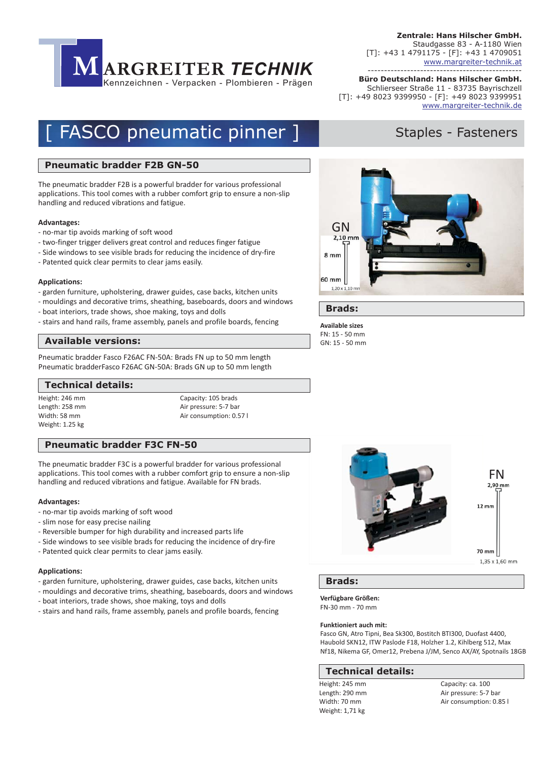

**Büro Deutschland: Hans Hilscher GmbH.** ----------------------------------------------- Schlierseer Straße 11 - 83735 Bayrischzell [T]: +49 8023 9399950 - [F]: +49 8023 9399951 www.margreiter-technik.de

## [ FASCO pneumatic pinner ] Staples - Fasteners

#### **Pneumatic bradder F2B GN-50**

The pneumatic bradder F2B is a powerful bradder for various professional applications. This tool comes with a rubber comfort grip to ensure a non-slip handling and reduced vibrations and fatigue.

#### **Advantages:**

- no-mar tip avoids marking of soft wood
- two-finger trigger delivers great control and reduces finger fatigue
- Side windows to see visible brads for reducing the incidence of dry-fire
- Patented quick clear permits to clear jams easily.

#### **Applications:**

- garden furniture, upholstering, drawer guides, case backs, kitchen units
- mouldings and decorative trims, sheathing, baseboards, doors and windows
- boat interiors, trade shows, shoe making, toys and dolls
- stairs and hand rails, frame assembly, panels and profile boards, fencing

#### **Available versions:**

Pneumatic bradder Fasco F26AC FN-50A: Brads FN up to 50 mm length Pneumatic bradderFasco F26AC GN-50A: Brads GN up to 50 mm length

#### **Technical details:**

Height: 246 mm Length: 258 mm Width: 58 mm Weight: 1.25 kg

Capacity: 105 brads Air pressure: 5-7 bar Air consumption: 0.57 l

#### **Pneumatic bradder F3C FN-50**

The pneumatic bradder F3C is a powerful bradder for various professional applications. This tool comes with a rubber comfort grip to ensure a non-slip handling and reduced vibrations and fatigue. Available for FN brads.

#### **Advantages:**

- no-mar tip avoids marking of soft wood
- slim nose for easy precise nailing
- Reversible bumper for high durability and increased parts life
- Side windows to see visible brads for reducing the incidence of dry-fire
- Patented quick clear permits to clear jams easily.

#### **Applications:**

- garden furniture, upholstering, drawer guides, case backs, kitchen units
- mouldings and decorative trims, sheathing, baseboards, doors and windows
- boat interiors, trade shows, shoe making, toys and dolls
- stairs and hand rails, frame assembly, panels and profile boards, fencing



#### **Brads:**

**Verfügbare Größen:** FN-30 mm - 70 mm

#### **Funktioniert auch mit:**

Fasco GN, Atro Tipni, Bea Sk300, Bostitch BTI300, Duofast 4400, Haubold SKN12, ITW Paslode F18, Holzher 1.2, Kihlberg 512, Max Nf18, Nikema GF, Omer12, Prebena J/JM, Senco AX/AY, Spotnails 18GB

#### **Technische Daten: Technical details:**

Height: 245 mm Length: 290 mm Width: 70 mm Weight: 1,71 kg

Capacity: ca. 100 Air pressure: 5-7 bar Air consumption: 0.85 l



**Brads:**

**Available sizes** FN: 15 - 50 mm GN: 15 - 50 mm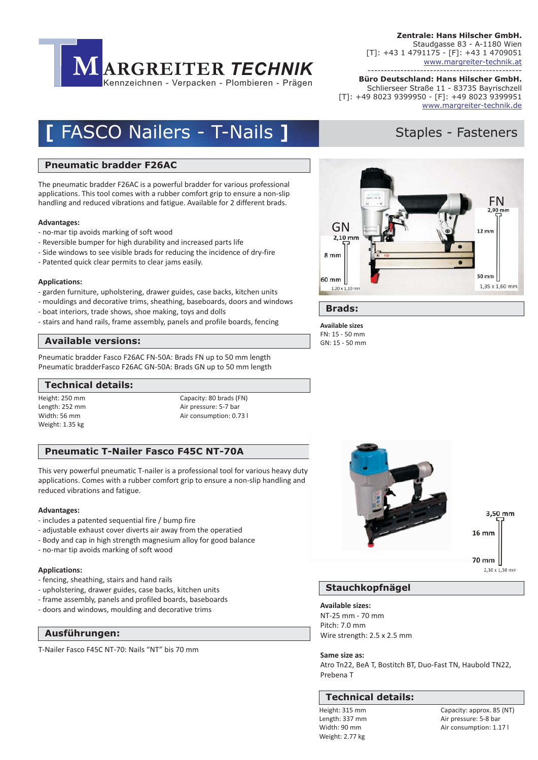

**Büro Deutschland: Hans Hilscher GmbH.** ----------------------------------------------- Schlierseer Straße 11 - 83735 Bayrischzell [T]: +49 8023 9399950 - [F]: +49 8023 9399951 www.margreiter-technik.de

## **FASCO Nailers - T-Nails ]**

#### **Pneumatic bradder F26AC**

The pneumatic bradder F26AC is a powerful bradder for various professional applications. This tool comes with a rubber comfort grip to ensure a non-slip handling and reduced vibrations and fatigue. Available for 2 different brads.

#### **Advantages:**

- no-mar tip avoids marking of soft wood
- Reversible bumper for high durability and increased parts life
- Side windows to see visible brads for reducing the incidence of dry-fire
- Patented quick clear permits to clear jams easily.

#### **Applications:**

- garden furniture, upholstering, drawer guides, case backs, kitchen units
- mouldings and decorative trims, sheathing, baseboards, doors and windows
- boat interiors, trade shows, shoe making, toys and dolls
- stairs and hand rails, frame assembly, panels and profile boards, fencing

#### **Available versions:**

Pneumatic bradder Fasco F26AC FN-50A: Brads FN up to 50 mm length Pneumatic bradderFasco F26AC GN-50A: Brads GN up to 50 mm length

#### **Technical details:**

Height: 250 mm Length: 252 mm Width: 56 mm Weight: 1.35 kg

Capacity: 80 brads (FN) Air pressure: 5-7 bar Air consumption: 0.73 l

#### **Pneumatic T-Nailer Fasco F45C NT-70A**

This very powerful pneumatic T-nailer is a professional tool for various heavy duty applications. Comes with a rubber comfort grip to ensure a non-slip handling and reduced vibrations and fatigue.

#### **Advantages:**

- includes a patented sequential fire / bump fire
- adjustable exhaust cover diverts air away from the operatied
- Body and cap in high strength magnesium alloy for good balance
- no-mar tip avoids marking of soft wood

#### **Applications:**

- fencing, sheathing, stairs and hand rails
- upholstering, drawer guides, case backs, kitchen units
- frame assembly, panels and profiled boards, baseboards
- doors and windows, moulding and decorative trims

**Gravuren und Layouts Ausführungen:**

T-Nailer Fasco F45C NT-70: Nails "NT" bis 70 mm

3,50 mm  $16 \text{ mm}$ 

> 70 mm  $2.30 \times 1.50$  mm

#### **Stauchkopfnägel**

#### **Available sizes:**

NT-25 mm - 70 mm Pitch: 7.0 mm Wire strength: 2.5 x 2.5 mm

**Same size as:**

Atro Tn22, BeA T, Bostitch BT, Duo-Fast TN, Haubold TN22, Prebena T

#### **Technical details:**

Height: 315 mm Length: 337 mm Width: 90 mm Weight: 2.77 kg

Capacity: approx. 85 (NT) Air pressure: 5-8 bar Air consumption: 1.17 l

## Staples - Fasteners



**Brads:**

**Available sizes** FN: 15 - 50 mm GN: 15 - 50 mm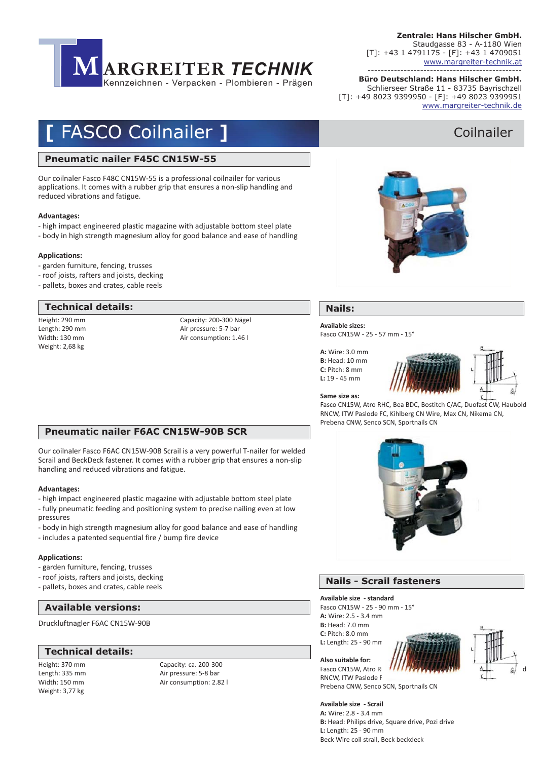

**Büro Deutschland: Hans Hilscher GmbH.** ----------------------------------------------- Schlierseer Straße 11 - 83735 Bayrischzell [T]: +49 8023 9399950 - [F]: +49 8023 9399951 www.margreiter-technik.de

## **FASCO Coilnailer 1** and Coilnailer Coilnailer

#### **Pneumatic nailer F45C CN15W-55**

Our coilnaler Fasco F48C CN15W-55 is a professional coilnailer for various applications. It comes with a rubber grip that ensures a non-slip handling and reduced vibrations and fatigue.

#### **Advantages:**

- high impact engineered plastic magazine with adjustable bottom steel plate
- body in high strength magnesium alloy for good balance and ease of handling

#### **Applications:**

- garden furniture, fencing, trusses
- roof joists, rafters and joists, decking
- pallets, boxes and crates, cable reels

#### **Technical details:**

Height: 290 mm Length: 290 mm Width: 130 mm Weight: 2,68 kg

Capacity: 200-300 Nägel Air pressure: 5-7 bar Air consumption: 1.46 l



#### **Nails:**

#### **Available sizes:**

Fasco CN15W - 25 - 57 mm - 15°

**A:** Wire: 3.0 mm **B:** Head: 10 mm **C:** Pitch: 8 mm **L:** 19 - 45 mm



**Same size as:**

Fasco CN15W, Atro RHC, Bea BDC, Bostitch C/AC, Duofast CW, Haubold RNCW, ITW Paslode FC, Kihlberg CN Wire, Max CN, Nikema CN, Prebena CNW, Senco SCN, Sportnails CN

### **Pneumatic nailer F6AC CN15W-90B SCR**

Our coilnaler Fasco F6AC CN15W-90B Scrail is a very powerful T-nailer for welded Scrail and BeckDeck fastener. It comes with a rubber grip that ensures a non-slip handling and reduced vibrations and fatigue.

#### **Advantages:**

- high impact engineered plastic magazine with adjustable bottom steel plate - fully pneumatic feeding and positioning system to precise nailing even at low pressures
- body in high strength magnesium alloy for good balance and ease of handling
- includes a patented sequential fire / bump fire device

#### **Applications:**

- garden furniture, fencing, trusses
- roof joists, rafters and joists, decking
- pallets, boxes and crates, cable reels

#### **Available versions:**

Druckluftnagler F6AC CN15W-90B

#### **Technical details:**

Height: 370 mm Length: 335 mm Width: 150 mm Weight: 3,77 kg

Capacity: ca. 200-300 Air pressure: 5-8 bar Air consumption: 2.82 l



### **Nails - Scrail fasteners**

**Available size - standard**

**A:** Wire: 2.5 - 3.4 mm **B:** Head: 7.0 mm **C:** Pitch: 8.0 mm **L:** Length: 25 - 90 mm Fasco CN15W - 25 - 90 mm - 15°





Fasco CN15W, Atro R RNCW, ITW Paslode F Prebena CNW, Senco SCN, Sportnails CN

#### **Available size - Scrail**

**Also suitable for:**

**A:** Wire: 2.8 - 3.4 mm **B:** Head: Philips drive, Square drive, Pozi drive **L:** Length: 25 - 90 mm Beck Wire coil strail, Beck beckdeck